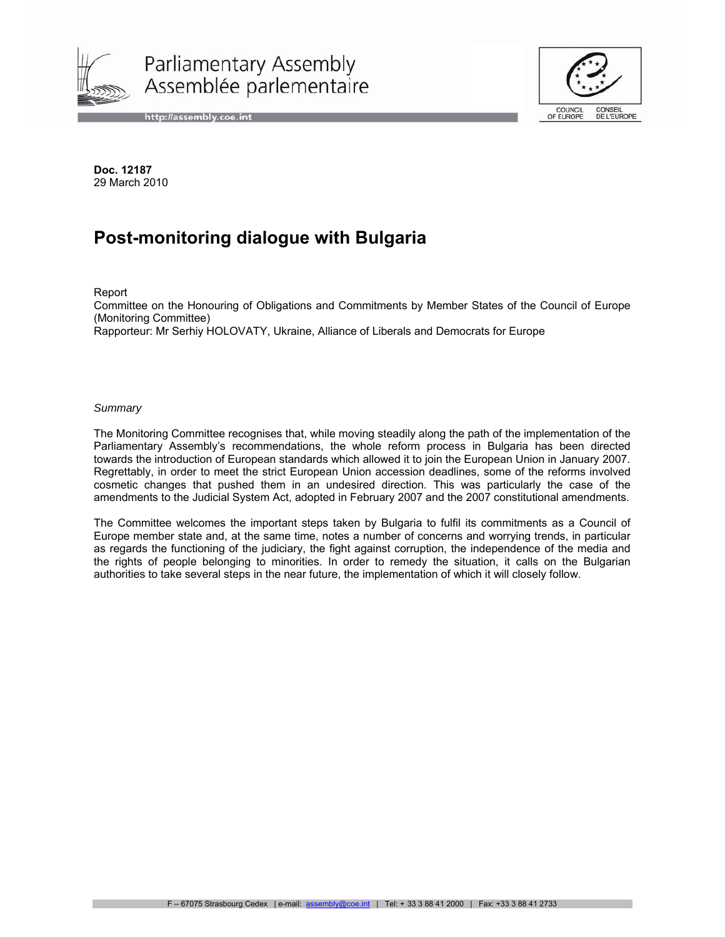

Parliamentary Assembly Assemblée parlementaire

http://assembly.coe.int



**Doc. 12187**  29 March 2010

# **Post-monitoring dialogue with Bulgaria**

Report

Committee on the Honouring of Obligations and Commitments by Member States of the Council of Europe (Monitoring Committee)

Rapporteur: Mr Serhiy HOLOVATY, Ukraine, Alliance of Liberals and Democrats for Europe

#### *Summary*

The Monitoring Committee recognises that, while moving steadily along the path of the implementation of the Parliamentary Assembly's recommendations, the whole reform process in Bulgaria has been directed towards the introduction of European standards which allowed it to join the European Union in January 2007. Regrettably, in order to meet the strict European Union accession deadlines, some of the reforms involved cosmetic changes that pushed them in an undesired direction. This was particularly the case of the amendments to the Judicial System Act, adopted in February 2007 and the 2007 constitutional amendments.

The Committee welcomes the important steps taken by Bulgaria to fulfil its commitments as a Council of Europe member state and, at the same time, notes a number of concerns and worrying trends, in particular as regards the functioning of the judiciary, the fight against corruption, the independence of the media and the rights of people belonging to minorities. In order to remedy the situation, it calls on the Bulgarian authorities to take several steps in the near future, the implementation of which it will closely follow.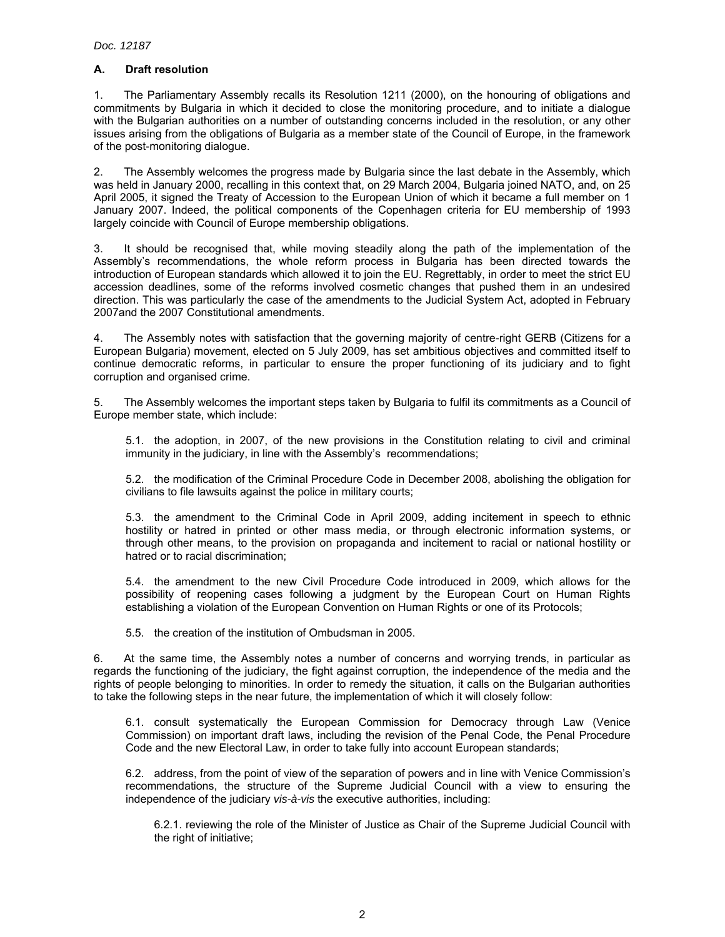## **A. Draft resolution**

1. The Parliamentary Assembly recalls its Resolution 1211 (2000), on the honouring of obligations and commitments by Bulgaria in which it decided to close the monitoring procedure, and to initiate a dialogue with the Bulgarian authorities on a number of outstanding concerns included in the resolution, or any other issues arising from the obligations of Bulgaria as a member state of the Council of Europe, in the framework of the post-monitoring dialogue.

2. The Assembly welcomes the progress made by Bulgaria since the last debate in the Assembly, which was held in January 2000, recalling in this context that, on 29 March 2004, Bulgaria joined NATO, and, on 25 April 2005, it signed the Treaty of Accession to the European Union of which it became a full member on 1 January 2007. Indeed, the political components of the Copenhagen criteria for EU membership of 1993 largely coincide with Council of Europe membership obligations.

3. It should be recognised that, while moving steadily along the path of the implementation of the Assembly's recommendations, the whole reform process in Bulgaria has been directed towards the introduction of European standards which allowed it to join the EU. Regrettably, in order to meet the strict EU accession deadlines, some of the reforms involved cosmetic changes that pushed them in an undesired direction. This was particularly the case of the amendments to the Judicial System Act, adopted in February 2007and the 2007 Constitutional amendments.

4. The Assembly notes with satisfaction that the governing majority of centre-right GERB (Citizens for a European Bulgaria) movement, elected on 5 July 2009, has set ambitious objectives and committed itself to continue democratic reforms, in particular to ensure the proper functioning of its judiciary and to fight corruption and organised crime.

5. The Assembly welcomes the important steps taken by Bulgaria to fulfil its commitments as a Council of Europe member state, which include:

5.1. the adoption, in 2007, of the new provisions in the Constitution relating to civil and criminal immunity in the judiciary, in line with the Assembly's recommendations;

5.2. the modification of the Criminal Procedure Code in December 2008, abolishing the obligation for civilians to file lawsuits against the police in military courts;

5.3. the amendment to the Criminal Code in April 2009, adding incitement in speech to ethnic hostility or hatred in printed or other mass media, or through electronic information systems, or through other means, to the provision on propaganda and incitement to racial or national hostility or hatred or to racial discrimination;

5.4. the amendment to the new Civil Procedure Code introduced in 2009, which allows for the possibility of reopening cases following a judgment by the European Court on Human Rights establishing a violation of the European Convention on Human Rights or one of its Protocols;

5.5. the creation of the institution of Ombudsman in 2005.

6. At the same time, the Assembly notes a number of concerns and worrying trends, in particular as regards the functioning of the judiciary, the fight against corruption, the independence of the media and the rights of people belonging to minorities. In order to remedy the situation, it calls on the Bulgarian authorities to take the following steps in the near future, the implementation of which it will closely follow:

6.1. consult systematically the European Commission for Democracy through Law (Venice Commission) on important draft laws, including the revision of the Penal Code, the Penal Procedure Code and the new Electoral Law, in order to take fully into account European standards;

6.2. address, from the point of view of the separation of powers and in line with Venice Commission's recommendations, the structure of the Supreme Judicial Council with a view to ensuring the independence of the judiciary *vis-à-vis* the executive authorities, including:

6.2.1. reviewing the role of the Minister of Justice as Chair of the Supreme Judicial Council with the right of initiative;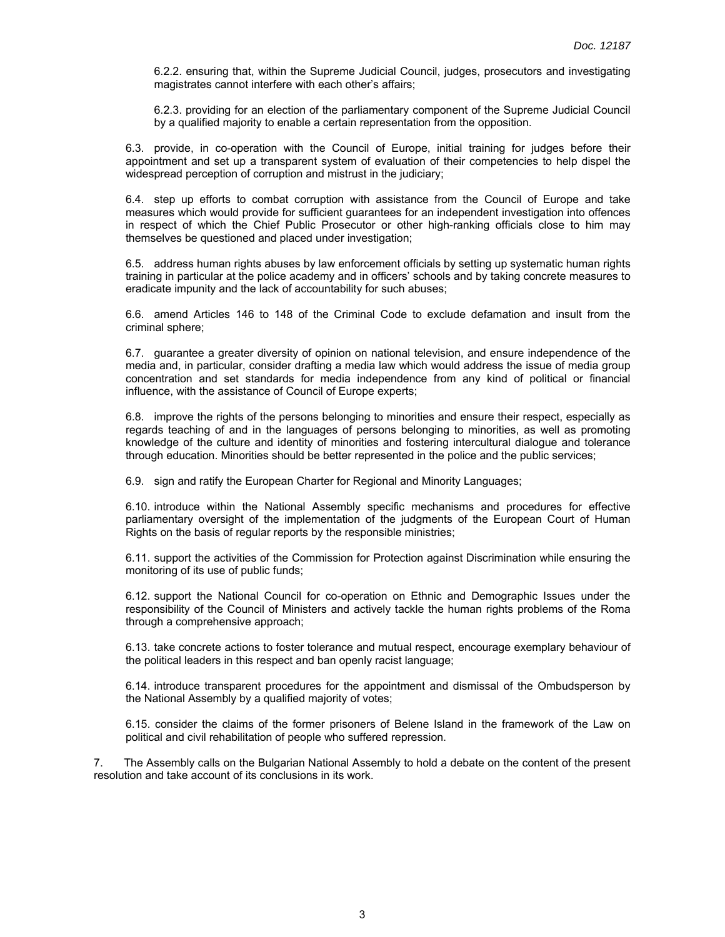6.2.2. ensuring that, within the Supreme Judicial Council, judges, prosecutors and investigating magistrates cannot interfere with each other's affairs;

6.2.3. providing for an election of the parliamentary component of the Supreme Judicial Council by a qualified majority to enable a certain representation from the opposition.

6.3. provide, in co-operation with the Council of Europe, initial training for judges before their appointment and set up a transparent system of evaluation of their competencies to help dispel the widespread perception of corruption and mistrust in the judiciary;

6.4. step up efforts to combat corruption with assistance from the Council of Europe and take measures which would provide for sufficient guarantees for an independent investigation into offences in respect of which the Chief Public Prosecutor or other high-ranking officials close to him may themselves be questioned and placed under investigation;

6.5. address human rights abuses by law enforcement officials by setting up systematic human rights training in particular at the police academy and in officers' schools and by taking concrete measures to eradicate impunity and the lack of accountability for such abuses;

6.6. amend Articles 146 to 148 of the Criminal Code to exclude defamation and insult from the criminal sphere;

6.7. guarantee a greater diversity of opinion on national television, and ensure independence of the media and, in particular, consider drafting a media law which would address the issue of media group concentration and set standards for media independence from any kind of political or financial influence, with the assistance of Council of Europe experts;

6.8. improve the rights of the persons belonging to minorities and ensure their respect, especially as regards teaching of and in the languages of persons belonging to minorities, as well as promoting knowledge of the culture and identity of minorities and fostering intercultural dialogue and tolerance through education. Minorities should be better represented in the police and the public services;

6.9. sign and ratify the European Charter for Regional and Minority Languages;

6.10. introduce within the National Assembly specific mechanisms and procedures for effective parliamentary oversight of the implementation of the judgments of the European Court of Human Rights on the basis of regular reports by the responsible ministries;

6.11. support the activities of the Commission for Protection against Discrimination while ensuring the monitoring of its use of public funds;

6.12. support the National Council for co-operation on Ethnic and Demographic Issues under the responsibility of the Council of Ministers and actively tackle the human rights problems of the Roma through a comprehensive approach;

6.13. take concrete actions to foster tolerance and mutual respect, encourage exemplary behaviour of the political leaders in this respect and ban openly racist language;

6.14. introduce transparent procedures for the appointment and dismissal of the Ombudsperson by the National Assembly by a qualified majority of votes;

6.15. consider the claims of the former prisoners of Belene Island in the framework of the Law on political and civil rehabilitation of people who suffered repression.

7. The Assembly calls on the Bulgarian National Assembly to hold a debate on the content of the present resolution and take account of its conclusions in its work.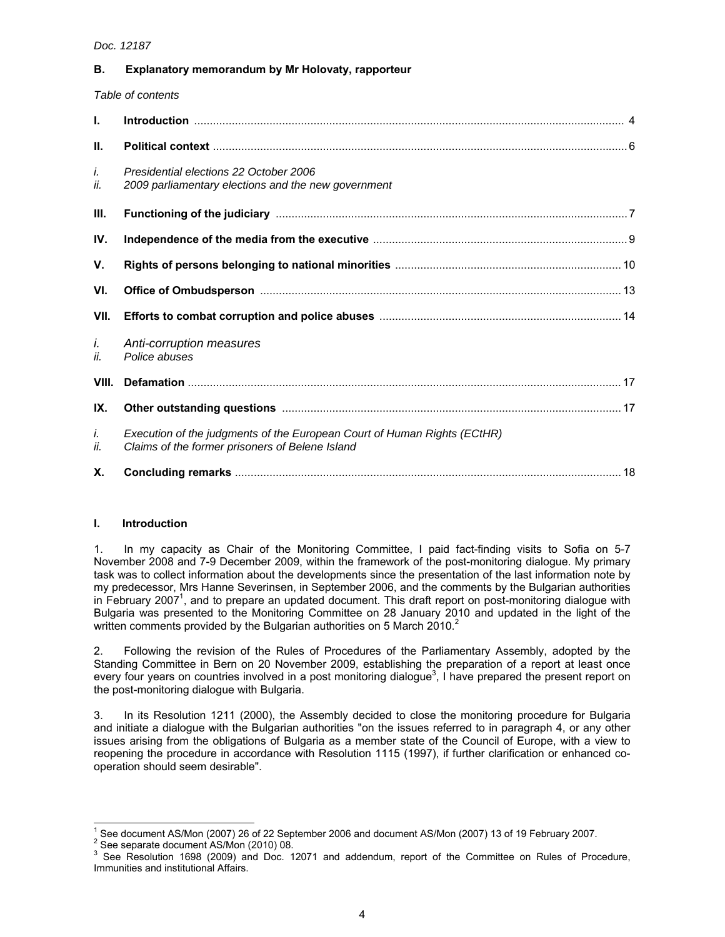## **B. Explanatory memorandum by Mr Holovaty, rapporteur**

*Table of contents* 

| L.        |                                                                                                                             |
|-----------|-----------------------------------------------------------------------------------------------------------------------------|
| Ш.        |                                                                                                                             |
| i.<br>İİ. | Presidential elections 22 October 2006<br>2009 parliamentary elections and the new government                               |
| III.      |                                                                                                                             |
| IV.       |                                                                                                                             |
| V.        |                                                                                                                             |
| VI.       |                                                                                                                             |
| VII.      |                                                                                                                             |
| i.<br>ii. | Anti-corruption measures<br>Police abuses                                                                                   |
| VIII.     |                                                                                                                             |
| IX.       |                                                                                                                             |
| İ.<br>İİ. | Execution of the judgments of the European Court of Human Rights (ECtHR)<br>Claims of the former prisoners of Belene Island |
| Χ.        |                                                                                                                             |

#### **I. Introduction**

1. In my capacity as Chair of the Monitoring Committee, I paid fact-finding visits to Sofia on 5-7 November 2008 and 7-9 December 2009, within the framework of the post-monitoring dialogue. My primary task was to collect information about the developments since the presentation of the last information note by my predecessor, Mrs Hanne Severinsen, in September 2006, and the comments by the Bulgarian authorities in February 2007<sup>1</sup>, and to prepare an updated document. This draft report on post-monitoring dialogue with Bulgaria was presented to the Monitoring Committee on 28 January 2010 and updated in the light of the written comments provided by the Bulgarian authorities on 5 March 2010.<sup>2</sup>

2. Following the revision of the Rules of Procedures of the Parliamentary Assembly, adopted by the Standing Committee in Bern on 20 November 2009, establishing the preparation of a report at least once every four years on countries involved in a post monitoring dialogue<sup>3</sup>, I have prepared the present report on the post-monitoring dialogue with Bulgaria.

3. In its Resolution 1211 (2000), the Assembly decided to close the monitoring procedure for Bulgaria and initiate a dialogue with the Bulgarian authorities "on the issues referred to in paragraph 4, or any other issues arising from the obligations of Bulgaria as a member state of the Council of Europe, with a view to reopening the procedure in accordance with Resolution 1115 (1997), if further clarification or enhanced cooperation should seem desirable".

 $\overline{a}$ 

<sup>1</sup> See document AS/Mon (2007) 26 of 22 September 2006 and document AS/Mon (2007) 13 of 19 February 2007.

<sup>&</sup>lt;sup>2</sup> See separate document AS/Mon (2010) 08.

<sup>3</sup> See Resolution 1698 (2009) and Doc. 12071 and addendum, report of the Committee on Rules of Procedure, Immunities and institutional Affairs.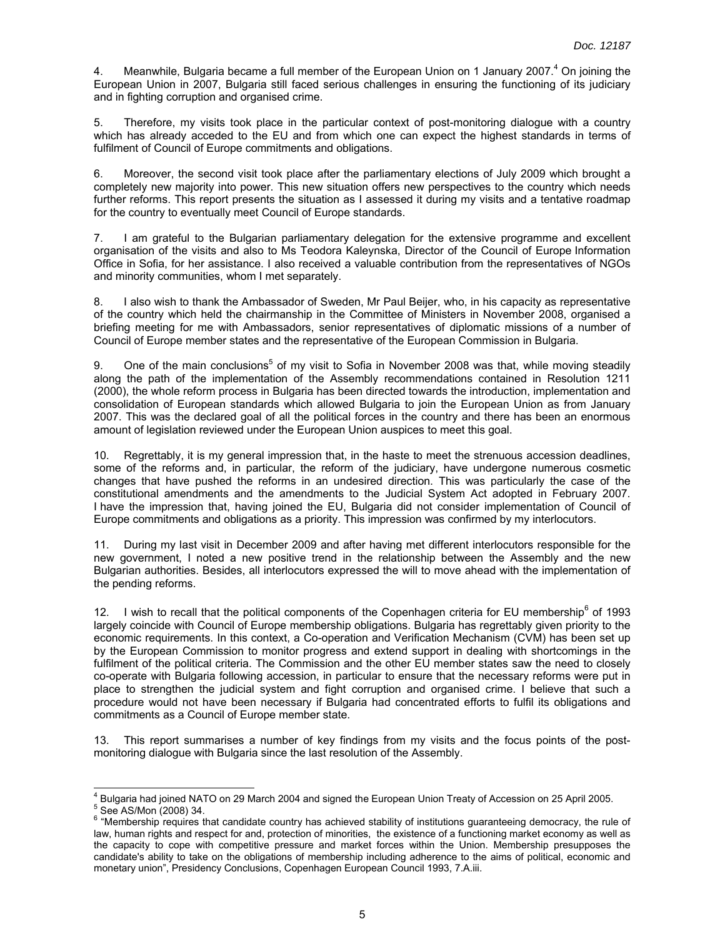4. Meanwhile, Bulgaria became a full member of the European Union on 1 January 2007.<sup>4</sup> On joining the European Union in 2007, Bulgaria still faced serious challenges in ensuring the functioning of its judiciary and in fighting corruption and organised crime.

5. Therefore, my visits took place in the particular context of post-monitoring dialogue with a country which has already acceded to the EU and from which one can expect the highest standards in terms of fulfilment of Council of Europe commitments and obligations.

6. Moreover, the second visit took place after the parliamentary elections of July 2009 which brought a completely new majority into power. This new situation offers new perspectives to the country which needs further reforms. This report presents the situation as I assessed it during my visits and a tentative roadmap for the country to eventually meet Council of Europe standards.

7. I am grateful to the Bulgarian parliamentary delegation for the extensive programme and excellent organisation of the visits and also to Ms Teodora Kaleynska, Director of the Council of Europe Information Office in Sofia, for her assistance. I also received a valuable contribution from the representatives of NGOs and minority communities, whom I met separately.

8. I also wish to thank the Ambassador of Sweden, Mr Paul Beijer, who, in his capacity as representative of the country which held the chairmanship in the Committee of Ministers in November 2008, organised a briefing meeting for me with Ambassadors, senior representatives of diplomatic missions of a number of Council of Europe member states and the representative of the European Commission in Bulgaria.

9. One of the main conclusions<sup>5</sup> of my visit to Sofia in November 2008 was that, while moving steadily along the path of the implementation of the Assembly recommendations contained in Resolution 1211 (2000), the whole reform process in Bulgaria has been directed towards the introduction, implementation and consolidation of European standards which allowed Bulgaria to join the European Union as from January 2007. This was the declared goal of all the political forces in the country and there has been an enormous amount of legislation reviewed under the European Union auspices to meet this goal.

10. Regrettably, it is my general impression that, in the haste to meet the strenuous accession deadlines, some of the reforms and, in particular, the reform of the judiciary, have undergone numerous cosmetic changes that have pushed the reforms in an undesired direction. This was particularly the case of the constitutional amendments and the amendments to the Judicial System Act adopted in February 2007. I have the impression that, having joined the EU, Bulgaria did not consider implementation of Council of Europe commitments and obligations as a priority. This impression was confirmed by my interlocutors.

11. During my last visit in December 2009 and after having met different interlocutors responsible for the new government, I noted a new positive trend in the relationship between the Assembly and the new Bulgarian authorities. Besides, all interlocutors expressed the will to move ahead with the implementation of the pending reforms.

12. I wish to recall that the political components of the Copenhagen criteria for EU membership<sup>6</sup> of 1993 largely coincide with Council of Europe membership obligations. Bulgaria has regrettably given priority to the economic requirements. In this context, a Co-operation and Verification Mechanism (CVM) has been set up by the European Commission to monitor progress and extend support in dealing with shortcomings in the fulfilment of the political criteria. The Commission and the other EU member states saw the need to closely co-operate with Bulgaria following accession, in particular to ensure that the necessary reforms were put in place to strengthen the judicial system and fight corruption and organised crime. I believe that such a procedure would not have been necessary if Bulgaria had concentrated efforts to fulfil its obligations and commitments as a Council of Europe member state.

13. This report summarises a number of key findings from my visits and the focus points of the postmonitoring dialogue with Bulgaria since the last resolution of the Assembly.

 4 Bulgaria had joined NATO on 29 March 2004 and signed the European Union Treaty of Accession on 25 April 2005.

<sup>5</sup> See AS/Mon (2008) 34.

<sup>&</sup>lt;sup>6</sup> "Membership requires that candidate country has achieved stability of institutions guaranteeing democracy, the rule of law, human rights and respect for and, protection of minorities, the existence of a functioning market economy as well as the capacity to cope with competitive pressure and market forces within the Union. Membership presupposes the candidate's ability to take on the obligations of membership including adherence to the aims of political, economic and monetary union", Presidency Conclusions, Copenhagen European Council 1993, 7.A.iii.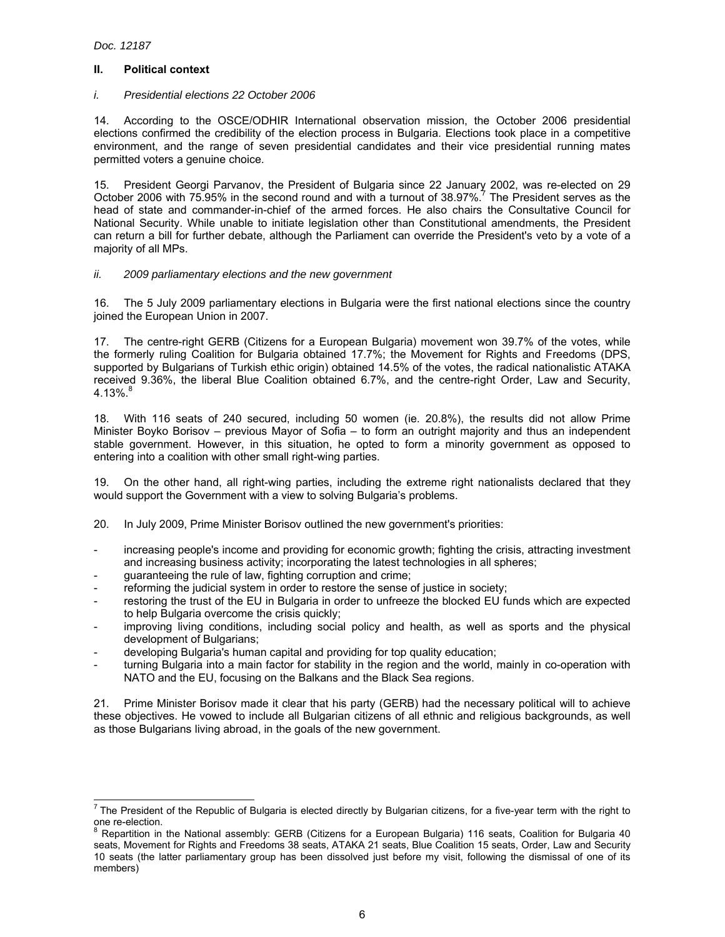$\overline{a}$ 

## **II. Political context**

## *i. Presidential elections 22 October 2006*

14. According to the OSCE/ODHIR International observation mission, the October 2006 presidential elections confirmed the credibility of the election process in Bulgaria. Elections took place in a competitive environment, and the range of seven presidential candidates and their vice presidential running mates permitted voters a genuine choice.

15. President Georgi Parvanov, the President of Bulgaria since 22 January 2002, was re-elected on 29 October 2006 with 75.95% in the second round and with a turnout of 38.97%.<sup>7</sup> The President serves as the head of state and commander-in-chief of the armed forces. He also chairs the Consultative Council for National Security. While unable to initiate legislation other than Constitutional amendments, the President can return a bill for further debate, although the Parliament can override the President's veto by a vote of a majority of all MPs.

## *ii. 2009 parliamentary elections and the new government*

16. The 5 July 2009 parliamentary elections in Bulgaria were the first national elections since the country joined the European Union in 2007.

17. The centre-right GERB (Citizens for a European Bulgaria) movement won 39.7% of the votes, while the formerly ruling Coalition for Bulgaria obtained 17.7%; the Movement for Rights and Freedoms (DPS, supported by Bulgarians of Turkish ethic origin) obtained 14.5% of the votes, the radical nationalistic ATAKA received 9.36%, the liberal Blue Coalition obtained 6.7%, and the centre-right Order, Law and Security,  $4.13\%$ .

18. With 116 seats of 240 secured, including 50 women (ie. 20.8%), the results did not allow Prime Minister Boyko Borisov – previous Mayor of Sofia – to form an outright majority and thus an independent stable government. However, in this situation, he opted to form a minority government as opposed to entering into a coalition with other small right-wing parties.

19. On the other hand, all right-wing parties, including the extreme right nationalists declared that they would support the Government with a view to solving Bulgaria's problems.

20. In July 2009, Prime Minister Borisov outlined the new government's priorities:

- increasing people's income and providing for economic growth; fighting the crisis, attracting investment and increasing business activity; incorporating the latest technologies in all spheres;
- guaranteeing the rule of law, fighting corruption and crime;
- reforming the judicial system in order to restore the sense of justice in society;
- restoring the trust of the EU in Bulgaria in order to unfreeze the blocked EU funds which are expected to help Bulgaria overcome the crisis quickly;
- improving living conditions, including social policy and health, as well as sports and the physical development of Bulgarians;
- developing Bulgaria's human capital and providing for top quality education;
- turning Bulgaria into a main factor for stability in the region and the world, mainly in co-operation with NATO and the EU, focusing on the Balkans and the Black Sea regions.

21. Prime Minister Borisov made it clear that his party (GERB) had the necessary political will to achieve these objectives. He vowed to include all Bulgarian citizens of all ethnic and religious backgrounds, as well as those Bulgarians living abroad, in the goals of the new government.

<sup>&</sup>lt;sup>7</sup> The President of the Republic of Bulgaria is elected directly by Bulgarian citizens, for a five-year term with the right to one re-election.<br><sup>8</sup> Penertition in

Repartition in the National assembly: GERB (Citizens for a European Bulgaria) 116 seats, Coalition for Bulgaria 40 seats, Movement for Rights and Freedoms 38 seats, ATAKA 21 seats, Blue Coalition 15 seats, Order, Law and Security 10 seats (the latter parliamentary group has been dissolved just before my visit, following the dismissal of one of its members)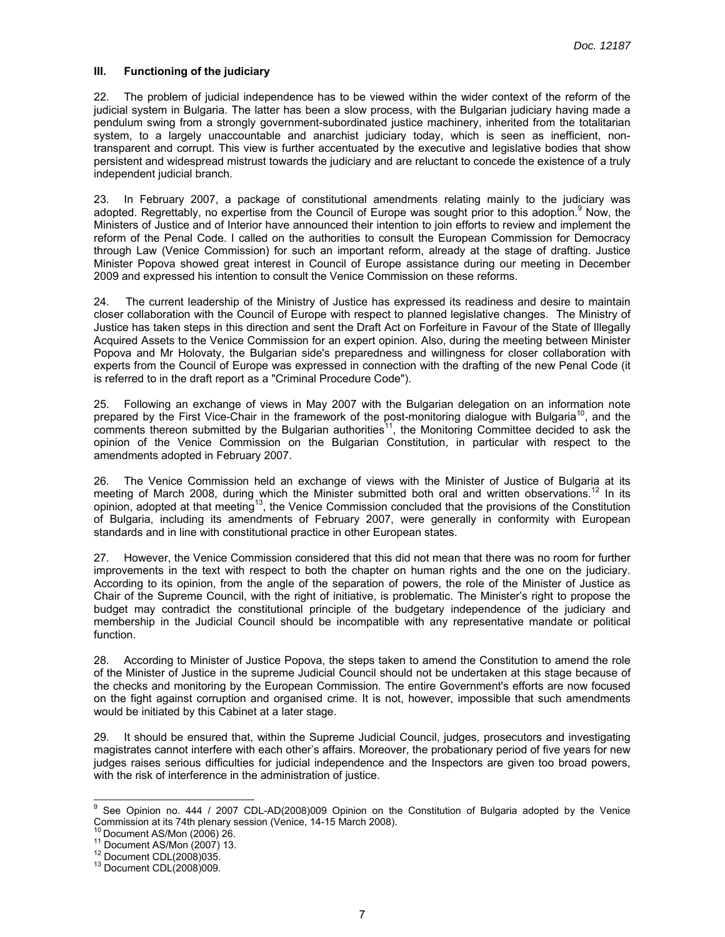## **III. Functioning of the judiciary**

22. The problem of judicial independence has to be viewed within the wider context of the reform of the judicial system in Bulgaria. The latter has been a slow process, with the Bulgarian judiciary having made a pendulum swing from a strongly government-subordinated justice machinery, inherited from the totalitarian system, to a largely unaccountable and anarchist judiciary today, which is seen as inefficient, nontransparent and corrupt. This view is further accentuated by the executive and legislative bodies that show persistent and widespread mistrust towards the judiciary and are reluctant to concede the existence of a truly independent judicial branch.

23. In February 2007, a package of constitutional amendments relating mainly to the judiciary was adopted. Regrettably, no expertise from the Council of Europe was sought prior to this adoption.<sup>9</sup> Now, the Ministers of Justice and of Interior have announced their intention to join efforts to review and implement the reform of the Penal Code. I called on the authorities to consult the European Commission for Democracy through Law (Venice Commission) for such an important reform, already at the stage of drafting. Justice Minister Popova showed great interest in Council of Europe assistance during our meeting in December 2009 and expressed his intention to consult the Venice Commission on these reforms.

24. The current leadership of the Ministry of Justice has expressed its readiness and desire to maintain closer collaboration with the Council of Europe with respect to planned legislative changes. The Ministry of Justice has taken steps in this direction and sent the Draft Act on Forfeiture in Favour of the State of Illegally Acquired Assets to the Venice Commission for an expert opinion. Also, during the meeting between Minister Popova and Mr Holovaty, the Bulgarian side's preparedness and willingness for closer collaboration with experts from the Council of Europe was expressed in connection with the drafting of the new Penal Code (it is referred to in the draft report as a "Criminal Procedure Code").

25. Following an exchange of views in May 2007 with the Bulgarian delegation on an information note prepared by the First Vice-Chair in the framework of the post-monitoring dialogue with Bulgaria<sup>10</sup>, and the comments thereon submitted by the Bulgarian authorities<sup>11</sup>, the Monitoring Committee decided to ask the opinion of the Venice Commission on the Bulgarian Constitution, in particular with respect to the amendments adopted in February 2007.

26. The Venice Commission held an exchange of views with the Minister of Justice of Bulgaria at its meeting of March 2008, during which the Minister submitted both oral and written observations.<sup>12</sup> In its opinion, adopted at that meeting<sup>13</sup>, the Venice Commission concluded that the provisions of the Constitution of Bulgaria, including its amendments of February 2007, were generally in conformity with European standards and in line with constitutional practice in other European states.

27. However, the Venice Commission considered that this did not mean that there was no room for further improvements in the text with respect to both the chapter on human rights and the one on the judiciary. According to its opinion, from the angle of the separation of powers, the role of the Minister of Justice as Chair of the Supreme Council, with the right of initiative, is problematic. The Minister's right to propose the budget may contradict the constitutional principle of the budgetary independence of the judiciary and membership in the Judicial Council should be incompatible with any representative mandate or political function.

28. According to Minister of Justice Popova, the steps taken to amend the Constitution to amend the role of the Minister of Justice in the supreme Judicial Council should not be undertaken at this stage because of the checks and monitoring by the European Commission. The entire Government's efforts are now focused on the fight against corruption and organised crime. It is not, however, impossible that such amendments would be initiated by this Cabinet at a later stage.

29. It should be ensured that, within the Supreme Judicial Council, judges, prosecutors and investigating magistrates cannot interfere with each other's affairs. Moreover, the probationary period of five years for new judges raises serious difficulties for judicial independence and the Inspectors are given too broad powers, with the risk of interference in the administration of justice.

 9 See Opinion no. 444 / 2007 CDL-AD(2008)009 Opinion on the Constitution of Bulgaria adopted by the Venice Commission at its 74th plenary session (Venice, 14-15 March 2008).

<sup>&</sup>lt;sup>10</sup> Document AS/Mon (2006) 26.<br><sup>11</sup> Document AS/Mon (2007) 13.<br><sup>12</sup> Document CDL(2008)035.<br><sup>13</sup> Document CDL(2008)009.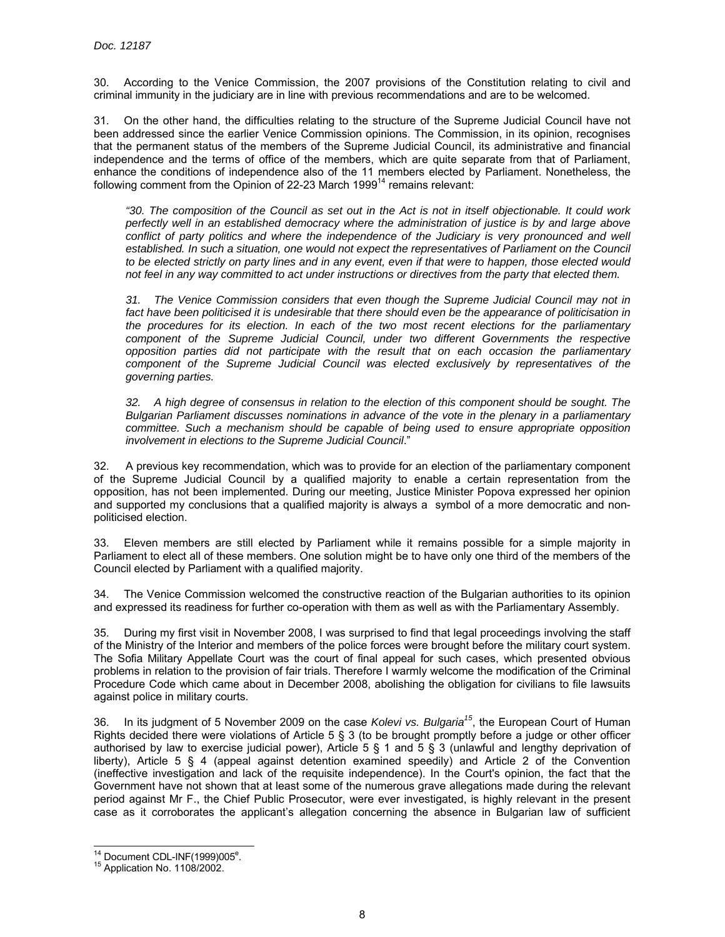30. According to the Venice Commission, the 2007 provisions of the Constitution relating to civil and criminal immunity in the judiciary are in line with previous recommendations and are to be welcomed.

31. On the other hand, the difficulties relating to the structure of the Supreme Judicial Council have not been addressed since the earlier Venice Commission opinions. The Commission, in its opinion, recognises that the permanent status of the members of the Supreme Judicial Council, its administrative and financial independence and the terms of office of the members, which are quite separate from that of Parliament, enhance the conditions of independence also of the 11 members elected by Parliament. Nonetheless, the following comment from the Opinion of 22-23 March 1999<sup>14</sup> remains relevant:

*"30. The composition of the Council as set out in the Act is not in itself objectionable. It could work perfectly well in an established democracy where the administration of justice is by and large above conflict of party politics and where the independence of the Judiciary is very pronounced and well established. In such a situation, one would not expect the representatives of Parliament on the Council to be elected strictly on party lines and in any event, even if that were to happen, those elected would not feel in any way committed to act under instructions or directives from the party that elected them.*

*31. The Venice Commission considers that even though the Supreme Judicial Council may not in fact have been politicised it is undesirable that there should even be the appearance of politicisation in the procedures for its election. In each of the two most recent elections for the parliamentary component of the Supreme Judicial Council, under two different Governments the respective opposition parties did not participate with the result that on each occasion the parliamentary component of the Supreme Judicial Council was elected exclusively by representatives of the governing parties.* 

*32. A high degree of consensus in relation to the election of this component should be sought. The Bulgarian Parliament discusses nominations in advance of the vote in the plenary in a parliamentary committee. Such a mechanism should be capable of being used to ensure appropriate opposition involvement in elections to the Supreme Judicial Council*."

32. A previous key recommendation, which was to provide for an election of the parliamentary component of the Supreme Judicial Council by a qualified majority to enable a certain representation from the opposition, has not been implemented. During our meeting, Justice Minister Popova expressed her opinion and supported my conclusions that a qualified majority is always a symbol of a more democratic and nonpoliticised election.

33. Eleven members are still elected by Parliament while it remains possible for a simple majority in Parliament to elect all of these members. One solution might be to have only one third of the members of the Council elected by Parliament with a qualified majority.

34. The Venice Commission welcomed the constructive reaction of the Bulgarian authorities to its opinion and expressed its readiness for further co-operation with them as well as with the Parliamentary Assembly.

35. During my first visit in November 2008, I was surprised to find that legal proceedings involving the staff of the Ministry of the Interior and members of the police forces were brought before the military court system. The Sofia Military Appellate Court was the court of final appeal for such cases, which presented obvious problems in relation to the provision of fair trials. Therefore I warmly welcome the modification of the Criminal Procedure Code which came about in December 2008, abolishing the obligation for civilians to file lawsuits against police in military courts.

36. In its judgment of 5 November 2009 on the case *Kolevi vs. Bulgaria15*, the European Court of Human Rights decided there were violations of Article 5 § 3 (to be brought promptly before a judge or other officer authorised by law to exercise judicial power), Article 5 § 1 and 5 § 3 (unlawful and lengthy deprivation of liberty), Article 5 § 4 (appeal against detention examined speedily) and Article 2 of the Convention (ineffective investigation and lack of the requisite independence). In the Court's opinion, the fact that the Government have not shown that at least some of the numerous grave allegations made during the relevant period against Mr F., the Chief Public Prosecutor, were ever investigated, is highly relevant in the present case as it corroborates the applicant's allegation concerning the absence in Bulgarian law of sufficient

 $\overline{a}$ <sup>14</sup> Document CDL-INF(1999)005<sup>e</sup>

 $15$  Application No. 1108/2002.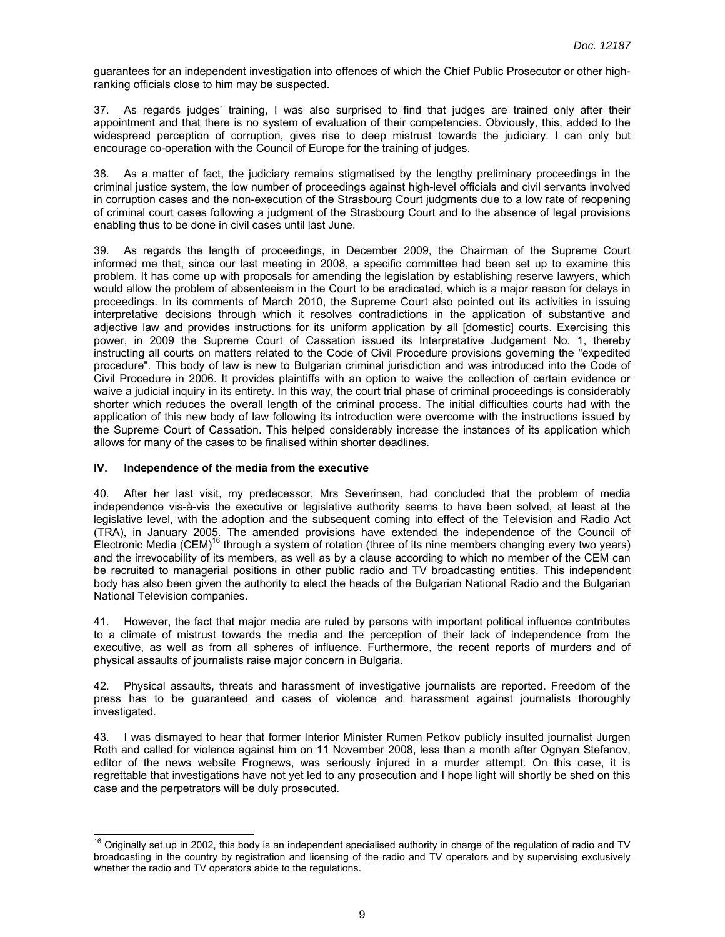guarantees for an independent investigation into offences of which the Chief Public Prosecutor or other highranking officials close to him may be suspected.

37. As regards judges' training, I was also surprised to find that judges are trained only after their appointment and that there is no system of evaluation of their competencies. Obviously, this, added to the widespread perception of corruption, gives rise to deep mistrust towards the judiciary. I can only but encourage co-operation with the Council of Europe for the training of judges.

38. As a matter of fact, the judiciary remains stigmatised by the lengthy preliminary proceedings in the criminal justice system, the low number of proceedings against high-level officials and civil servants involved in corruption cases and the non-execution of the Strasbourg Court judgments due to a low rate of reopening of criminal court cases following a judgment of the Strasbourg Court and to the absence of legal provisions enabling thus to be done in civil cases until last June.

39. As regards the length of proceedings, in December 2009, the Chairman of the Supreme Court informed me that, since our last meeting in 2008, a specific committee had been set up to examine this problem. It has come up with proposals for amending the legislation by establishing reserve lawyers, which would allow the problem of absenteeism in the Court to be eradicated, which is a major reason for delays in proceedings. In its comments of March 2010, the Supreme Court also pointed out its activities in issuing interpretative decisions through which it resolves contradictions in the application of substantive and adjective law and provides instructions for its uniform application by all [domestic] courts. Exercising this power, in 2009 the Supreme Court of Cassation issued its Interpretative Judgement No. 1, thereby instructing all courts on matters related to the Code of Civil Procedure provisions governing the "expedited procedure". This body of law is new to Bulgarian criminal jurisdiction and was introduced into the Code of Civil Procedure in 2006. It provides plaintiffs with an option to waive the collection of certain evidence or waive a judicial inquiry in its entirety. In this way, the court trial phase of criminal proceedings is considerably shorter which reduces the overall length of the criminal process. The initial difficulties courts had with the application of this new body of law following its introduction were overcome with the instructions issued by the Supreme Court of Cassation. This helped considerably increase the instances of its application which allows for many of the cases to be finalised within shorter deadlines.

#### **IV. Independence of the media from the executive**

 $\overline{a}$ 

40. After her last visit, my predecessor, Mrs Severinsen, had concluded that the problem of media independence vis-à-vis the executive or legislative authority seems to have been solved, at least at the legislative level, with the adoption and the subsequent coming into effect of the Television and Radio Act (TRA), in January 2005. The amended provisions have extended the independence of the Council of Electronic Media (CEM)<sup>16</sup> through a system of rotation (three of its nine members changing every two years) and the irrevocability of its members, as well as by a clause according to which no member of the CEM can be recruited to managerial positions in other public radio and TV broadcasting entities. This independent body has also been given the authority to elect the heads of the Bulgarian National Radio and the Bulgarian National Television companies.

41. However, the fact that major media are ruled by persons with important political influence contributes to a climate of mistrust towards the media and the perception of their lack of independence from the executive, as well as from all spheres of influence. Furthermore, the recent reports of murders and of physical assaults of journalists raise major concern in Bulgaria.

42. Physical assaults, threats and harassment of investigative journalists are reported. Freedom of the press has to be guaranteed and cases of violence and harassment against journalists thoroughly investigated.

43. I was dismayed to hear that former Interior Minister Rumen Petkov publicly insulted journalist Jurgen Roth and called for violence against him on 11 November 2008, less than a month after Ognyan Stefanov, editor of the news website Frognews, was seriously injured in a murder attempt. On this case, it is regrettable that investigations have not yet led to any prosecution and I hope light will shortly be shed on this case and the perpetrators will be duly prosecuted.

 $16$  Originally set up in 2002, this body is an independent specialised authority in charge of the regulation of radio and TV broadcasting in the country by registration and licensing of the radio and TV operators and by supervising exclusively whether the radio and TV operators abide to the regulations.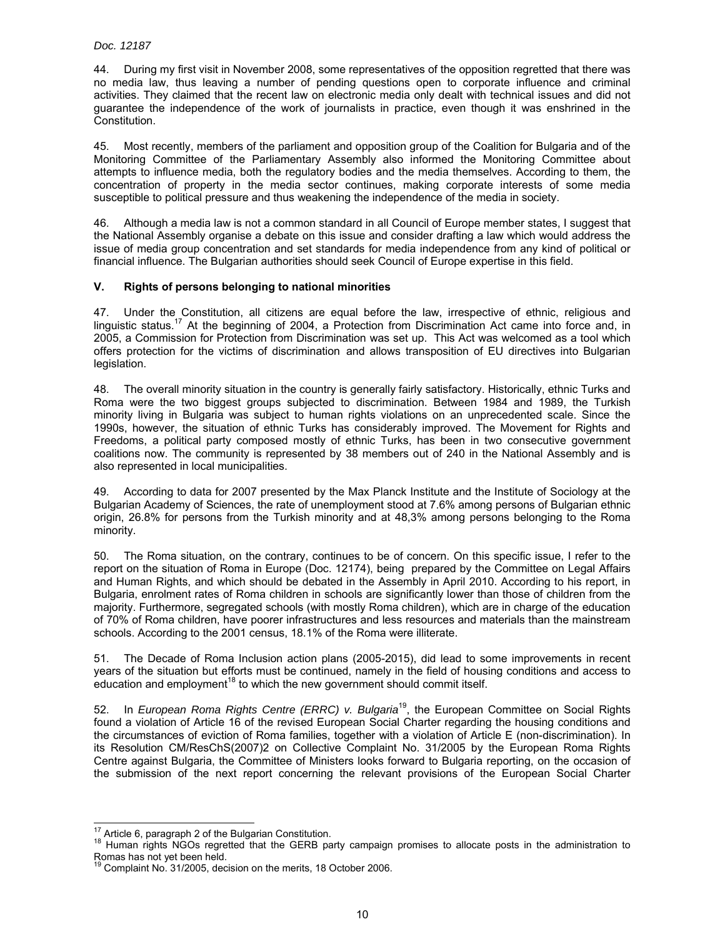44. During my first visit in November 2008, some representatives of the opposition regretted that there was no media law, thus leaving a number of pending questions open to corporate influence and criminal activities. They claimed that the recent law on electronic media only dealt with technical issues and did not guarantee the independence of the work of journalists in practice, even though it was enshrined in the Constitution.

45. Most recently, members of the parliament and opposition group of the Coalition for Bulgaria and of the Monitoring Committee of the Parliamentary Assembly also informed the Monitoring Committee about attempts to influence media, both the regulatory bodies and the media themselves. According to them, the concentration of property in the media sector continues, making corporate interests of some media susceptible to political pressure and thus weakening the independence of the media in society.

46. Although a media law is not a common standard in all Council of Europe member states, I suggest that the National Assembly organise a debate on this issue and consider drafting a law which would address the issue of media group concentration and set standards for media independence from any kind of political or financial influence. The Bulgarian authorities should seek Council of Europe expertise in this field.

## **V. Rights of persons belonging to national minorities**

47. Under the Constitution, all citizens are equal before the law, irrespective of ethnic, religious and linguistic status.<sup>17</sup> At the beginning of 2004, a Protection from Discrimination Act came into force and, in 2005, a Commission for Protection from Discrimination was set up. This Act was welcomed as a tool which offers protection for the victims of discrimination and allows transposition of EU directives into Bulgarian legislation.

48. The overall minority situation in the country is generally fairly satisfactory. Historically, ethnic Turks and Roma were the two biggest groups subjected to discrimination. Between 1984 and 1989, the Turkish minority living in Bulgaria was subject to human rights violations on an unprecedented scale. Since the 1990s, however, the situation of ethnic Turks has considerably improved. The Movement for Rights and Freedoms, a political party composed mostly of ethnic Turks, has been in two consecutive government coalitions now. The community is represented by 38 members out of 240 in the National Assembly and is also represented in local municipalities.

49. According to data for 2007 presented by the Max Planck Institute and the Institute of Sociology at the Bulgarian Academy of Sciences, the rate of unemployment stood at 7.6% among persons of Bulgarian ethnic origin, 26.8% for persons from the Turkish minority and at 48,3% among persons belonging to the Roma minority.

50. The Roma situation, on the contrary, continues to be of concern. On this specific issue, I refer to the report on the situation of Roma in Europe (Doc. 12174), being prepared by the Committee on Legal Affairs and Human Rights, and which should be debated in the Assembly in April 2010. According to his report, in Bulgaria, enrolment rates of Roma children in schools are significantly lower than those of children from the majority. Furthermore, segregated schools (with mostly Roma children), which are in charge of the education of 70% of Roma children, have poorer infrastructures and less resources and materials than the mainstream schools. According to the 2001 census, 18.1% of the Roma were illiterate.

51. The Decade of Roma Inclusion action plans (2005-2015), did lead to some improvements in recent years of the situation but efforts must be continued, namely in the field of housing conditions and access to education and employment<sup>18</sup> to which the new government should commit itself.

52. In *European Roma Rights Centre (ERRC) v. Bulgaria*19, the European Committee on Social Rights found a violation of Article 16 of the revised European Social Charter regarding the housing conditions and the circumstances of eviction of Roma families, together with a violation of Article E (non-discrimination). In its Resolution CM/ResChS(2007)2 on Collective Complaint No. 31/2005 by the European Roma Rights Centre against Bulgaria, the Committee of Ministers looks forward to Bulgaria reporting, on the occasion of the submission of the next report concerning the relevant provisions of the European Social Charter

<sup>&</sup>lt;sup>17</sup> Article 6, paragraph 2 of the Bulgarian Constitution.

<sup>&</sup>lt;sup>18</sup> Human rights NGOs regretted that the GERB party campaign promises to allocate posts in the administration to Romas has not yet been held.

<sup>19</sup> Complaint No. 31/2005, decision on the merits, 18 October 2006.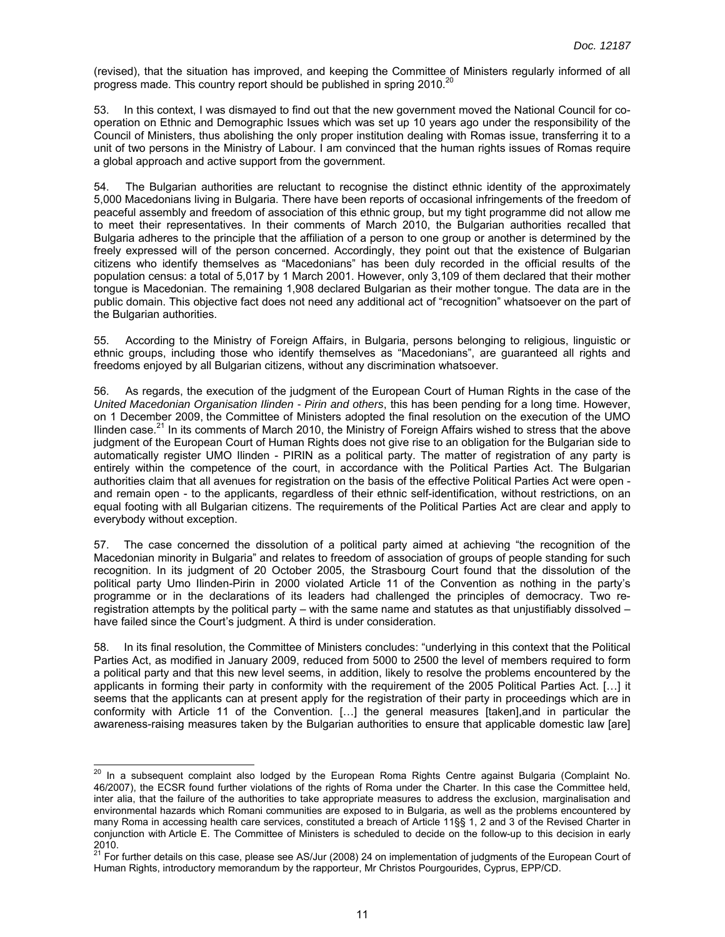(revised), that the situation has improved, and keeping the Committee of Ministers regularly informed of all progress made. This country report should be published in spring 2010.<sup>20</sup>

53. In this context, I was dismayed to find out that the new government moved the National Council for cooperation on Ethnic and Demographic Issues which was set up 10 years ago under the responsibility of the Council of Ministers, thus abolishing the only proper institution dealing with Romas issue, transferring it to a unit of two persons in the Ministry of Labour. I am convinced that the human rights issues of Romas require a global approach and active support from the government.

54. The Bulgarian authorities are reluctant to recognise the distinct ethnic identity of the approximately 5,000 Macedonians living in Bulgaria. There have been reports of occasional infringements of the freedom of peaceful assembly and freedom of association of this ethnic group, but my tight programme did not allow me to meet their representatives. In their comments of March 2010, the Bulgarian authorities recalled that Bulgaria adheres to the principle that the affiliation of a person to one group or another is determined by the freely expressed will of the person concerned. Accordingly, they point out that the existence of Bulgarian citizens who identify themselves as "Macedonians" has been duly recorded in the official results of the population census: a total of 5,017 by 1 March 2001. However, only 3,109 of them declared that their mother tongue is Macedonian. The remaining 1,908 declared Bulgarian as their mother tongue. The data are in the public domain. This objective fact does not need any additional act of "recognition" whatsoever on the part of the Bulgarian authorities.

55. According to the Ministry of Foreign Affairs, in Bulgaria, persons belonging to religious, linguistic or ethnic groups, including those who identify themselves as "Macedonians", are guaranteed all rights and freedoms enjoyed by all Bulgarian citizens, without any discrimination whatsoever.

56. As regards, the execution of the judgment of the European Court of Human Rights in the case of the *United Macedonian Organisation Ilinden - Pirin and others*, this has been pending for a long time. However, on 1 December 2009, the Committee of Ministers adopted the final resolution on the execution of the UMO Ilinden case.<sup>21</sup> In its comments of March 2010, the Ministry of Foreign Affairs wished to stress that the above judgment of the European Court of Human Rights does not give rise to an obligation for the Bulgarian side to automatically register UMO Ilinden - PIRIN as a political party. The matter of registration of any party is entirely within the competence of the court, in accordance with the Political Parties Act. The Bulgarian authorities claim that all avenues for registration on the basis of the effective Political Parties Act were open and remain open - to the applicants, regardless of their ethnic self-identification, without restrictions, on an equal footing with all Bulgarian citizens. The requirements of the Political Parties Act are clear and apply to everybody without exception.

57. The case concerned the dissolution of a political party aimed at achieving "the recognition of the Macedonian minority in Bulgaria" and relates to freedom of association of groups of people standing for such recognition. In its judgment of 20 October 2005, the Strasbourg Court found that the dissolution of the political party Umo Ilinden-Pirin in 2000 violated Article 11 of the Convention as nothing in the party's programme or in the declarations of its leaders had challenged the principles of democracy. Two reregistration attempts by the political party – with the same name and statutes as that unjustifiably dissolved – have failed since the Court's judgment. A third is under consideration.

58. In its final resolution, the Committee of Ministers concludes: "underlying in this context that the Political Parties Act, as modified in January 2009, reduced from 5000 to 2500 the level of members required to form a political party and that this new level seems, in addition, likely to resolve the problems encountered by the applicants in forming their party in conformity with the requirement of the 2005 Political Parties Act. […] it seems that the applicants can at present apply for the registration of their party in proceedings which are in conformity with Article 11 of the Convention. […] the general measures [taken],and in particular the awareness-raising measures taken by the Bulgarian authorities to ensure that applicable domestic law [are]

 $\overline{a}$ 

 $^{20}$  In a subsequent complaint also lodged by the European Roma Rights Centre against Bulgaria (Complaint No. 46/2007), the ECSR found further violations of the rights of Roma under the Charter. In this case the Committee held, inter alia, that the failure of the authorities to take appropriate measures to address the exclusion, marginalisation and environmental hazards which Romani communities are exposed to in Bulgaria, as well as the problems encountered by many Roma in accessing health care services, constituted a breach of Article 11§§ 1, 2 and 3 of the Revised Charter in conjunction with Article E. The Committee of Ministers is scheduled to decide on the follow-up to this decision in early

<sup>2010.&</sup>lt;br><sup>21</sup> For further details on this case, please see AS/Jur (2008) 24 on implementation of judgments of the European Court of Human Rights, introductory memorandum by the rapporteur, Mr Christos Pourgourides, Cyprus, EPP/CD.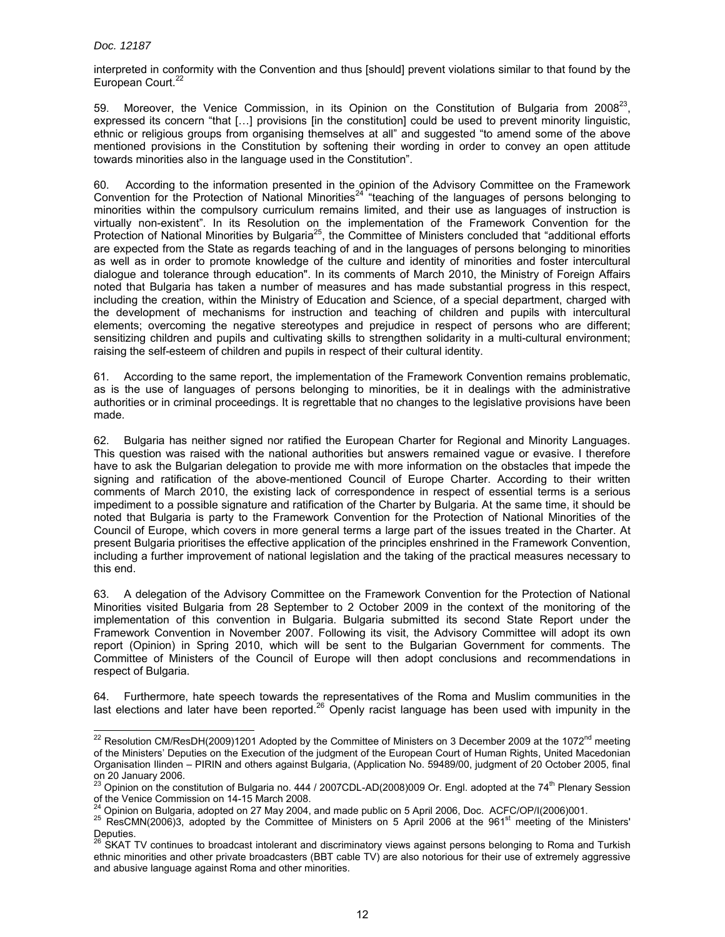interpreted in conformity with the Convention and thus [should] prevent violations similar to that found by the European Court.<sup>22</sup>

59. Moreover, the Venice Commission, in its Opinion on the Constitution of Bulgaria from  $2008^{23}$ , expressed its concern "that […] provisions [in the constitution] could be used to prevent minority linguistic, ethnic or religious groups from organising themselves at all" and suggested "to amend some of the above mentioned provisions in the Constitution by softening their wording in order to convey an open attitude towards minorities also in the language used in the Constitution".

60. According to the information presented in the opinion of the Advisory Committee on the Framework Convention for the Protection of National Minorities<sup>24</sup> "teaching of the languages of persons belonging to minorities within the compulsory curriculum remains limited, and their use as languages of instruction is virtually non-existent". In its Resolution on the implementation of the Framework Convention for the Protection of National Minorities by Bulgaria<sup>25</sup>, the Committee of Ministers concluded that "additional efforts are expected from the State as regards teaching of and in the languages of persons belonging to minorities as well as in order to promote knowledge of the culture and identity of minorities and foster intercultural dialogue and tolerance through education". In its comments of March 2010, the Ministry of Foreign Affairs noted that Bulgaria has taken a number of measures and has made substantial progress in this respect, including the creation, within the Ministry of Education and Science, of a special department, charged with the development of mechanisms for instruction and teaching of children and pupils with intercultural elements; overcoming the negative stereotypes and prejudice in respect of persons who are different; sensitizing children and pupils and cultivating skills to strengthen solidarity in a multi-cultural environment; raising the self-esteem of children and pupils in respect of their cultural identity.

61. According to the same report, the implementation of the Framework Convention remains problematic, as is the use of languages of persons belonging to minorities, be it in dealings with the administrative authorities or in criminal proceedings. It is regrettable that no changes to the legislative provisions have been made.

62. Bulgaria has neither signed nor ratified the European Charter for Regional and Minority Languages. This question was raised with the national authorities but answers remained vague or evasive. I therefore have to ask the Bulgarian delegation to provide me with more information on the obstacles that impede the signing and ratification of the above-mentioned Council of Europe Charter. According to their written comments of March 2010, the existing lack of correspondence in respect of essential terms is a serious impediment to a possible signature and ratification of the Charter by Bulgaria. At the same time, it should be noted that Bulgaria is party to the Framework Convention for the Protection of National Minorities of the Council of Europe, which covers in more general terms a large part of the issues treated in the Charter. At present Bulgaria prioritises the effective application of the principles enshrined in the Framework Convention, including a further improvement of national legislation and the taking of the practical measures necessary to this end.

63. A delegation of the Advisory Committee on the Framework Convention for the Protection of National Minorities visited Bulgaria from 28 September to 2 October 2009 in the context of the monitoring of the implementation of this convention in Bulgaria. Bulgaria submitted its second State Report under the Framework Convention in November 2007. Following its visit, the Advisory Committee will adopt its own report (Opinion) in Spring 2010, which will be sent to the Bulgarian Government for comments. The Committee of Ministers of the Council of Europe will then adopt conclusions and recommendations in respect of Bulgaria.

64. Furthermore, hate speech towards the representatives of the Roma and Muslim communities in the last elections and later have been reported.<sup>26</sup> Openly racist language has been used with impunity in the

 $\overline{a}$ <sup>22</sup> Resolution CM/ResDH(2009)1201 Adopted by the Committee of Ministers on 3 December 2009 at the 1072<sup>nd</sup> meeting of the Ministers' Deputies on the Execution of the judgment of the European Court of Human Rights, United Macedonian Organisation Ilinden – PIRIN and others against Bulgaria, (Application No. 59489/00, judgment of 20 October 2005, final on 20 January 2006.

Opinion on the constitution of Bulgaria no. 444 / 2007CDL-AD(2008)009 Or. Engl. adopted at the 74<sup>th</sup> Plenary Session of the Venice Commission on 14-15 March 2008.

<sup>&</sup>lt;sup>24</sup> Opinion on Bulgaria, adopted on 27 May 2004, and made public on 5 April 2006, Doc. ACFC/OP/I(2006)001.<br><sup>25</sup> ResCMN(2006)3, adopted by the Committee of Ministers on 5 April 2006 at the 961<sup>st</sup> meeting of the Ministers Deputies.<br><sup>26</sup> SKAT TV continues to broadcast intolerant and discriminatory views against persons belonging to Roma and Turkish

ethnic minorities and other private broadcasters (BBT cable TV) are also notorious for their use of extremely aggressive and abusive language against Roma and other minorities.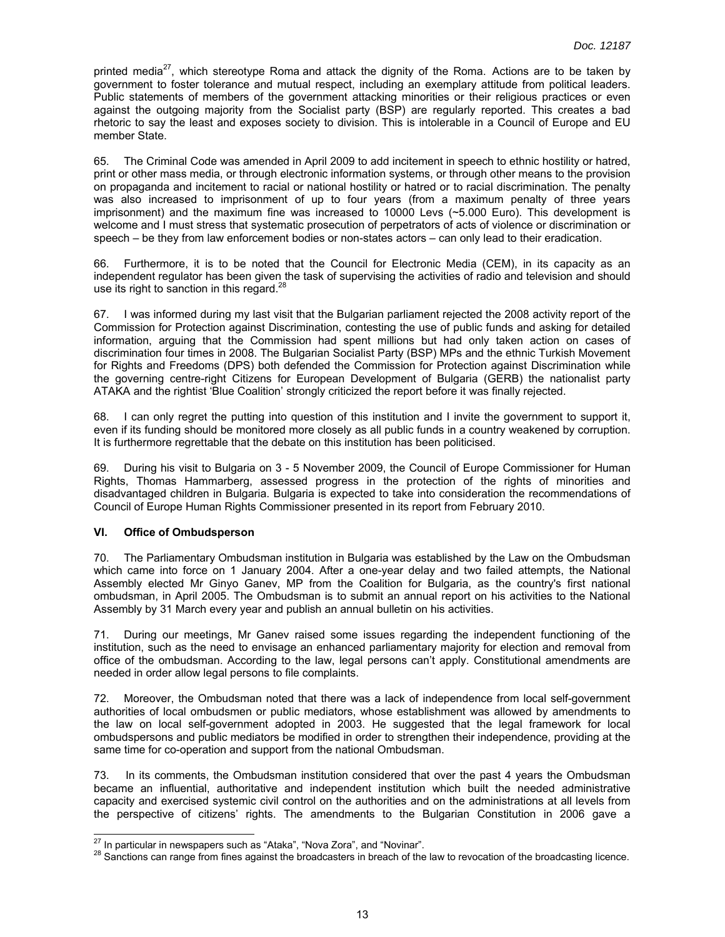printed media<sup>27</sup>, which stereotype Roma and attack the dignity of the Roma. Actions are to be taken by government to foster tolerance and mutual respect, including an exemplary attitude from political leaders. Public statements of members of the government attacking minorities or their religious practices or even against the outgoing majority from the Socialist party (BSP) are regularly reported. This creates a bad rhetoric to say the least and exposes society to division. This is intolerable in a Council of Europe and EU member State.

65. The Criminal Code was amended in April 2009 to add incitement in speech to ethnic hostility or hatred, print or other mass media, or through electronic information systems, or through other means to the provision on propaganda and incitement to racial or national hostility or hatred or to racial discrimination. The penalty was also increased to imprisonment of up to four years (from a maximum penalty of three years imprisonment) and the maximum fine was increased to 10000 Levs (~5.000 Euro). This development is welcome and I must stress that systematic prosecution of perpetrators of acts of violence or discrimination or speech – be they from law enforcement bodies or non-states actors – can only lead to their eradication.

66. Furthermore, it is to be noted that the Council for Electronic Media (CEM), in its capacity as an independent regulator has been given the task of supervising the activities of radio and television and should use its right to sanction in this regard.<sup>28</sup>

67. I was informed during my last visit that the Bulgarian parliament rejected the 2008 activity report of the Commission for Protection against Discrimination, contesting the use of public funds and asking for detailed information, arguing that the Commission had spent millions but had only taken action on cases of discrimination four times in 2008. The Bulgarian Socialist Party (BSP) MPs and the ethnic Turkish Movement for Rights and Freedoms (DPS) both defended the Commission for Protection against Discrimination while the governing centre-right Citizens for European Development of Bulgaria (GERB) the nationalist party ATAKA and the rightist 'Blue Coalition' strongly criticized the report before it was finally rejected.

68. I can only regret the putting into question of this institution and I invite the government to support it, even if its funding should be monitored more closely as all public funds in a country weakened by corruption. It is furthermore regrettable that the debate on this institution has been politicised.

69. During his visit to Bulgaria on 3 - 5 November 2009, the Council of Europe Commissioner for Human Rights, Thomas Hammarberg, assessed progress in the protection of the rights of minorities and disadvantaged children in Bulgaria. Bulgaria is expected to take into consideration the recommendations of Council of Europe Human Rights Commissioner presented in its report from February 2010.

## **VI. Office of Ombudsperson**

70. The Parliamentary Ombudsman institution in Bulgaria was established by the Law on the Ombudsman which came into force on 1 January 2004. After a one-year delay and two failed attempts, the National Assembly elected Mr Ginyo Ganev, MP from the Coalition for Bulgaria, as the country's first national ombudsman, in April 2005. The Ombudsman is to submit an annual report on his activities to the National Assembly by 31 March every year and publish an annual bulletin on his activities.

71. During our meetings, Mr Ganev raised some issues regarding the independent functioning of the institution, such as the need to envisage an enhanced parliamentary majority for election and removal from office of the ombudsman. According to the law, legal persons can't apply. Constitutional amendments are needed in order allow legal persons to file complaints.

72. Moreover, the Ombudsman noted that there was a lack of independence from local self-government authorities of local ombudsmen or public mediators, whose establishment was allowed by amendments to the law on local self-government adopted in 2003. He suggested that the legal framework for local ombudspersons and public mediators be modified in order to strengthen their independence, providing at the same time for co-operation and support from the national Ombudsman.

73. In its comments, the Ombudsman institution considered that over the past 4 years the Ombudsman became an influential, authoritative and independent institution which built the needed administrative capacity and exercised systemic civil control on the authorities and on the administrations at all levels from the perspective of citizens' rights. The amendments to the Bulgarian Constitution in 2006 gave a

<sup>&</sup>lt;sup>27</sup> In particular in newspapers such as "Ataka", "Nova Zora", and "Novinar".

<sup>&</sup>lt;sup>28</sup> Sanctions can range from fines against the broadcasters in breach of the law to revocation of the broadcasting licence.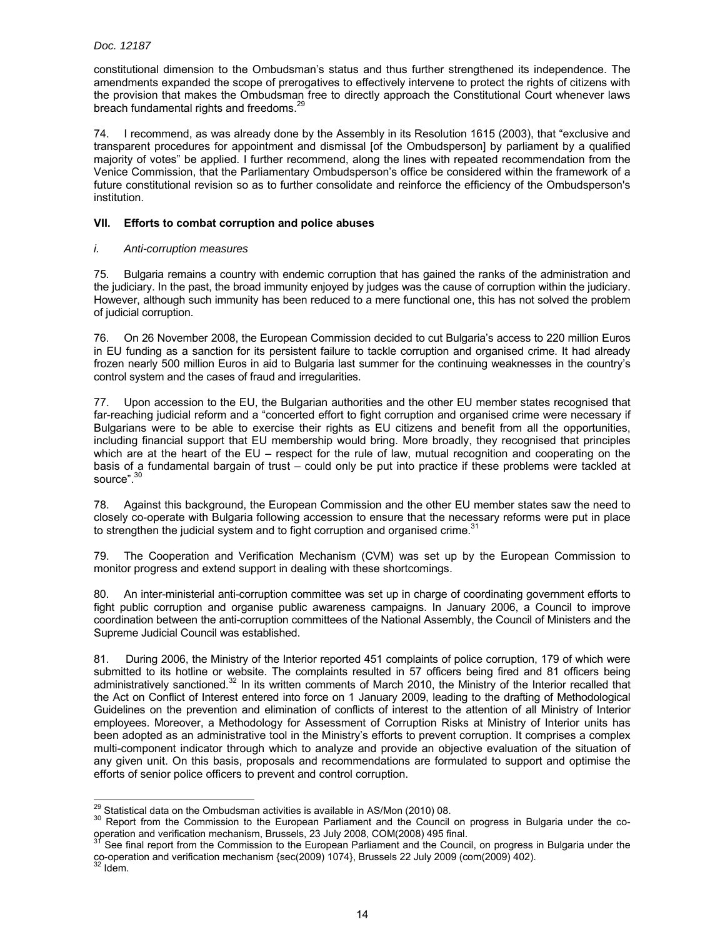constitutional dimension to the Ombudsman's status and thus further strengthened its independence. The amendments expanded the scope of prerogatives to effectively intervene to protect the rights of citizens with the provision that makes the Ombudsman free to directly approach the Constitutional Court whenever laws breach fundamental rights and freedoms.<sup>29</sup>

74. I recommend, as was already done by the Assembly in its Resolution 1615 (2003), that "exclusive and transparent procedures for appointment and dismissal [of the Ombudsperson] by parliament by a qualified majority of votes" be applied. I further recommend, along the lines with repeated recommendation from the Venice Commission, that the Parliamentary Ombudsperson's office be considered within the framework of a future constitutional revision so as to further consolidate and reinforce the efficiency of the Ombudsperson's institution.

## **VII. Efforts to combat corruption and police abuses**

#### *i. Anti-corruption measures*

75. Bulgaria remains a country with endemic corruption that has gained the ranks of the administration and the judiciary. In the past, the broad immunity enjoyed by judges was the cause of corruption within the judiciary. However, although such immunity has been reduced to a mere functional one, this has not solved the problem of judicial corruption.

76. On 26 November 2008, the European Commission decided to cut Bulgaria's access to 220 million Euros in EU funding as a sanction for its persistent failure to tackle corruption and organised crime. It had already frozen nearly 500 million Euros in aid to Bulgaria last summer for the continuing weaknesses in the country's control system and the cases of fraud and irregularities.

77. Upon accession to the EU, the Bulgarian authorities and the other EU member states recognised that far-reaching judicial reform and a "concerted effort to fight corruption and organised crime were necessary if Bulgarians were to be able to exercise their rights as EU citizens and benefit from all the opportunities, including financial support that EU membership would bring. More broadly, they recognised that principles which are at the heart of the EU – respect for the rule of law, mutual recognition and cooperating on the basis of a fundamental bargain of trust – could only be put into practice if these problems were tackled at source".<sup>30</sup>

78. Against this background, the European Commission and the other EU member states saw the need to closely co-operate with Bulgaria following accession to ensure that the necessary reforms were put in place to strengthen the judicial system and to fight corruption and organised crime. $31$ 

79. The Cooperation and Verification Mechanism (CVM) was set up by the European Commission to monitor progress and extend support in dealing with these shortcomings.

80. An inter-ministerial anti-corruption committee was set up in charge of coordinating government efforts to fight public corruption and organise public awareness campaigns. In January 2006, a Council to improve coordination between the anti-corruption committees of the National Assembly, the Council of Ministers and the Supreme Judicial Council was established.

81. During 2006, the Ministry of the Interior reported 451 complaints of police corruption, 179 of which were submitted to its hotline or website. The complaints resulted in 57 officers being fired and 81 officers being administratively sanctioned.<sup>32</sup> In its written comments of March 2010, the Ministry of the Interior recalled that the Act on Conflict of Interest entered into force on 1 January 2009, leading to the drafting of Methodological Guidelines on the prevention and elimination of conflicts of interest to the attention of all Ministry of Interior employees. Moreover, a Methodology for Assessment of Corruption Risks at Ministry of Interior units has been adopted as an administrative tool in the Ministry's efforts to prevent corruption. It comprises a complex multi-component indicator through which to analyze and provide an objective evaluation of the situation of any given unit. On this basis, proposals and recommendations are formulated to support and optimise the efforts of senior police officers to prevent and control corruption.

<sup>&</sup>lt;sup>29</sup> Statistical data on the Ombudsman activities is available in AS/Mon (2010) 08.

<sup>&</sup>lt;sup>30</sup> Report from the Commission to the European Parliament and the Council on progress in Bulgaria under the cooperation and verification mechanism, Brussels, 23 July 2008, COM(2008) 495 final.

See final report from the Commission to the European Parliament and the Council, on progress in Bulgaria under the co-operation and verification mechanism {sec(2009) 1074}, Brussels 22 July 2009 (com(2009) 402).<br><sup>32</sup> Idem.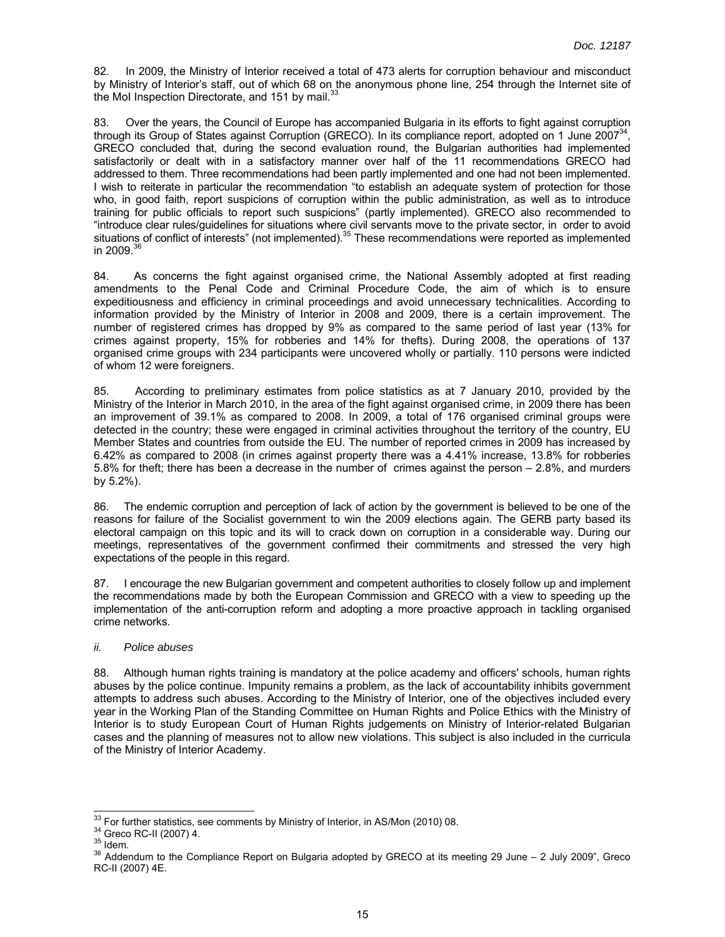82. In 2009, the Ministry of Interior received a total of 473 alerts for corruption behaviour and misconduct by Ministry of Interior's staff, out of which 68 on the anonymous phone line, 254 through the Internet site of the MoI Inspection Directorate, and 151 by mail. $^{33}$ 

83. Over the years, the Council of Europe has accompanied Bulgaria in its efforts to fight against corruption through its Group of States against Corruption (GRECO). In its compliance report, adopted on 1 June 2007 $^{34}$ , GRECO concluded that, during the second evaluation round, the Bulgarian authorities had implemented satisfactorily or dealt with in a satisfactory manner over half of the 11 recommendations GRECO had addressed to them. Three recommendations had been partly implemented and one had not been implemented. I wish to reiterate in particular the recommendation "to establish an adequate system of protection for those who, in good faith, report suspicions of corruption within the public administration, as well as to introduce training for public officials to report such suspicions" (partly implemented). GRECO also recommended to "introduce clear rules/guidelines for situations where civil servants move to the private sector, in order to avoid situations of conflict of interests" (not implemented).35 These recommendations were reported as implemented in 2009. $3$ 

84. As concerns the fight against organised crime, the National Assembly adopted at first reading amendments to the Penal Code and Criminal Procedure Code, the aim of which is to ensure expeditiousness and efficiency in criminal proceedings and avoid unnecessary technicalities. According to information provided by the Ministry of Interior in 2008 and 2009, there is a certain improvement. The number of registered crimes has dropped by 9% as compared to the same period of last year (13% for crimes against property, 15% for robberies and 14% for thefts). During 2008, the operations of 137 organised crime groups with 234 participants were uncovered wholly or partially. 110 persons were indicted of whom 12 were foreigners.

85. According to preliminary estimates from police statistics as at 7 January 2010, provided by the Ministry of the Interior in March 2010, in the area of the fight against organised crime, in 2009 there has been an improvement of 39.1% as compared to 2008. In 2009, a total of 176 organised criminal groups were detected in the country; these were engaged in criminal activities throughout the territory of the country, EU Member States and countries from outside the EU. The number of reported crimes in 2009 has increased by 6.42% as compared to 2008 (in crimes against property there was a 4.41% increase, 13.8% for robberies 5.8% for theft; there has been a decrease in the number of crimes against the person – 2.8%, and murders by 5.2%).

86. The endemic corruption and perception of lack of action by the government is believed to be one of the reasons for failure of the Socialist government to win the 2009 elections again. The GERB party based its electoral campaign on this topic and its will to crack down on corruption in a considerable way. During our meetings, representatives of the government confirmed their commitments and stressed the very high expectations of the people in this regard.

87. I encourage the new Bulgarian government and competent authorities to closely follow up and implement the recommendations made by both the European Commission and GRECO with a view to speeding up the implementation of the anti-corruption reform and adopting a more proactive approach in tackling organised crime networks.

#### *ii. Police abuses*

88. Although human rights training is mandatory at the police academy and officers' schools, human rights abuses by the police continue. Impunity remains a problem, as the lack of accountability inhibits government attempts to address such abuses. According to the Ministry of Interior, one of the objectives included every year in the Working Plan of the Standing Committee on Human Rights and Police Ethics with the Ministry of Interior is to study European Court of Human Rights judgements on Ministry of Interior-related Bulgarian cases and the planning of measures not to allow new violations. This subject is also included in the curricula of the Ministry of Interior Academy.

<sup>&</sup>lt;sup>33</sup> For further statistics, see comments by Ministry of Interior, in AS/Mon (2010) 08.

<sup>&</sup>lt;sup>34</sup> Greco RC-II (2007) 4.<br><sup>35</sup> Idem.<br><sup>35</sup> Addendum to the Compliance Report on Bulgaria adopted by GRECO at its meeting 29 June – 2 July 2009", Greco RC-II (2007) 4E.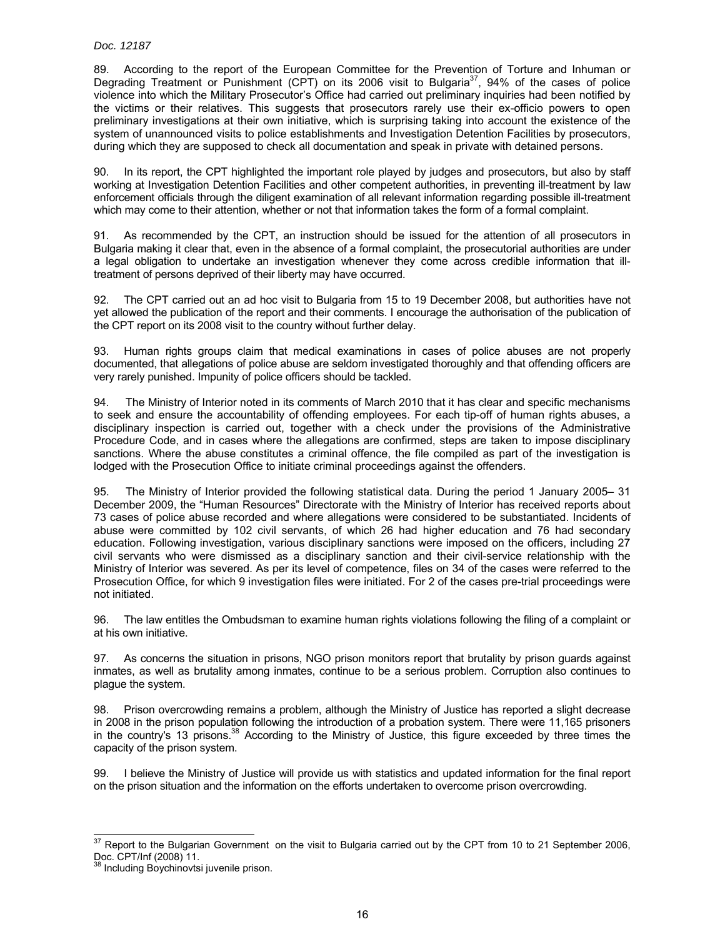89. According to the report of the European Committee for the Prevention of Torture and Inhuman or Degrading Treatment or Punishment (CPT) on its 2006 visit to Bulgaria<sup>37</sup>, 94% of the cases of police violence into which the Military Prosecutor's Office had carried out preliminary inquiries had been notified by the victims or their relatives. This suggests that prosecutors rarely use their ex-officio powers to open preliminary investigations at their own initiative, which is surprising taking into account the existence of the system of unannounced visits to police establishments and Investigation Detention Facilities by prosecutors, during which they are supposed to check all documentation and speak in private with detained persons.

90. In its report, the CPT highlighted the important role played by judges and prosecutors, but also by staff working at Investigation Detention Facilities and other competent authorities, in preventing ill-treatment by law enforcement officials through the diligent examination of all relevant information regarding possible ill-treatment which may come to their attention, whether or not that information takes the form of a formal complaint.

91. As recommended by the CPT, an instruction should be issued for the attention of all prosecutors in Bulgaria making it clear that, even in the absence of a formal complaint, the prosecutorial authorities are under a legal obligation to undertake an investigation whenever they come across credible information that illtreatment of persons deprived of their liberty may have occurred.

92. The CPT carried out an ad hoc visit to Bulgaria from 15 to 19 December 2008, but authorities have not yet allowed the publication of the report and their comments. I encourage the authorisation of the publication of the CPT report on its 2008 visit to the country without further delay.

93. Human rights groups claim that medical examinations in cases of police abuses are not properly documented, that allegations of police abuse are seldom investigated thoroughly and that offending officers are very rarely punished. Impunity of police officers should be tackled.

94. The Ministry of Interior noted in its comments of March 2010 that it has clear and specific mechanisms to seek and ensure the accountability of offending employees. For each tip-off of human rights abuses, a disciplinary inspection is carried out, together with a check under the provisions of the Administrative Procedure Code, and in cases where the allegations are confirmed, steps are taken to impose disciplinary sanctions. Where the abuse constitutes a criminal offence, the file compiled as part of the investigation is lodged with the Prosecution Office to initiate criminal proceedings against the offenders.

95. The Ministry of Interior provided the following statistical data. During the period 1 January 2005– 31 December 2009, the "Human Resources" Directorate with the Ministry of Interior has received reports about 73 cases of police abuse recorded and where allegations were considered to be substantiated. Incidents of abuse were committed by 102 civil servants, of which 26 had higher education and 76 had secondary education. Following investigation, various disciplinary sanctions were imposed on the officers, including 27 civil servants who were dismissed as a disciplinary sanction and their civil-service relationship with the Ministry of Interior was severed. As per its level of competence, files on 34 of the cases were referred to the Prosecution Office, for which 9 investigation files were initiated. For 2 of the cases pre-trial proceedings were not initiated.

96. The law entitles the Ombudsman to examine human rights violations following the filing of a complaint or at his own initiative.

97. As concerns the situation in prisons, NGO prison monitors report that brutality by prison guards against inmates, as well as brutality among inmates, continue to be a serious problem. Corruption also continues to plague the system.

98. Prison overcrowding remains a problem, although the Ministry of Justice has reported a slight decrease in 2008 in the prison population following the introduction of a probation system. There were 11,165 prisoners in the country's 13 prisons.<sup>38</sup> According to the Ministry of Justice, this figure exceeded by three times the capacity of the prison system.

99. I believe the Ministry of Justice will provide us with statistics and updated information for the final report on the prison situation and the information on the efforts undertaken to overcome prison overcrowding.

 $\overline{a}$  $37$  Report to the Bulgarian Government on the visit to Bulgaria carried out by the CPT from 10 to 21 September 2006, Doc. CPT/Inf (2008) 11.<br><sup>38</sup> Including Boychinovtsi juvenile prison.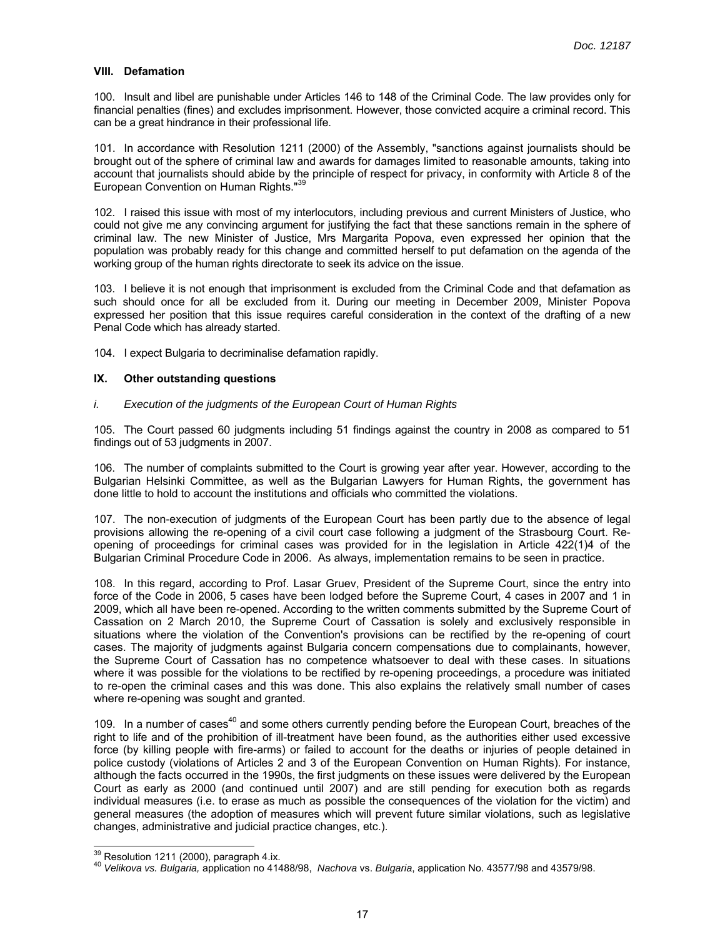## **VIII. Defamation**

100. Insult and libel are punishable under Articles 146 to 148 of the Criminal Code. The law provides only for financial penalties (fines) and excludes imprisonment. However, those convicted acquire a criminal record. This can be a great hindrance in their professional life.

101. In accordance with Resolution 1211 (2000) of the Assembly, "sanctions against journalists should be brought out of the sphere of criminal law and awards for damages limited to reasonable amounts, taking into account that journalists should abide by the principle of respect for privacy, in conformity with Article 8 of the European Convention on Human Rights."39

102. I raised this issue with most of my interlocutors, including previous and current Ministers of Justice, who could not give me any convincing argument for justifying the fact that these sanctions remain in the sphere of criminal law. The new Minister of Justice, Mrs Margarita Popova, even expressed her opinion that the population was probably ready for this change and committed herself to put defamation on the agenda of the working group of the human rights directorate to seek its advice on the issue.

103. I believe it is not enough that imprisonment is excluded from the Criminal Code and that defamation as such should once for all be excluded from it. During our meeting in December 2009, Minister Popova expressed her position that this issue requires careful consideration in the context of the drafting of a new Penal Code which has already started.

104. I expect Bulgaria to decriminalise defamation rapidly.

#### **IX. Other outstanding questions**

#### *i. Execution of the judgments of the European Court of Human Rights*

105. The Court passed 60 judgments including 51 findings against the country in 2008 as compared to 51 findings out of 53 judgments in 2007.

106. The number of complaints submitted to the Court is growing year after year. However, according to the Bulgarian Helsinki Committee, as well as the Bulgarian Lawyers for Human Rights, the government has done little to hold to account the institutions and officials who committed the violations.

107. The non-execution of judgments of the European Court has been partly due to the absence of legal provisions allowing the re-opening of a civil court case following a judgment of the Strasbourg Court. Reopening of proceedings for criminal cases was provided for in the legislation in Article 422(1)4 of the Bulgarian Criminal Procedure Code in 2006. As always, implementation remains to be seen in practice.

108. In this regard, according to Prof. Lasar Gruev, President of the Supreme Court, since the entry into force of the Code in 2006, 5 cases have been lodged before the Supreme Court, 4 cases in 2007 and 1 in 2009, which all have been re-opened. According to the written comments submitted by the Supreme Court of Cassation on 2 March 2010, the Supreme Court of Cassation is solely and exclusively responsible in situations where the violation of the Convention's provisions can be rectified by the re-opening of court cases. The majority of judgments against Bulgaria concern compensations due to complainants, however, the Supreme Court of Cassation has no competence whatsoever to deal with these cases. In situations where it was possible for the violations to be rectified by re-opening proceedings, a procedure was initiated to re-open the criminal cases and this was done. This also explains the relatively small number of cases where re-opening was sought and granted.

109. In a number of cases<sup>40</sup> and some others currently pending before the European Court, breaches of the right to life and of the prohibition of ill-treatment have been found, as the authorities either used excessive force (by killing people with fire-arms) or failed to account for the deaths or injuries of people detained in police custody (violations of Articles 2 and 3 of the European Convention on Human Rights). For instance, although the facts occurred in the 1990s, the first judgments on these issues were delivered by the European Court as early as 2000 (and continued until 2007) and are still pending for execution both as regards individual measures (i.e. to erase as much as possible the consequences of the violation for the victim) and general measures (the adoption of measures which will prevent future similar violations, such as legislative changes, administrative and judicial practice changes, etc.).

 $39$  Resolution 1211 (2000), paragraph 4.ix.

<sup>&</sup>lt;sup>40</sup> Velikova vs. Bulgaria, application no 41488/98, Nachova vs. Bulgaria, application No. 43577/98 and 43579/98.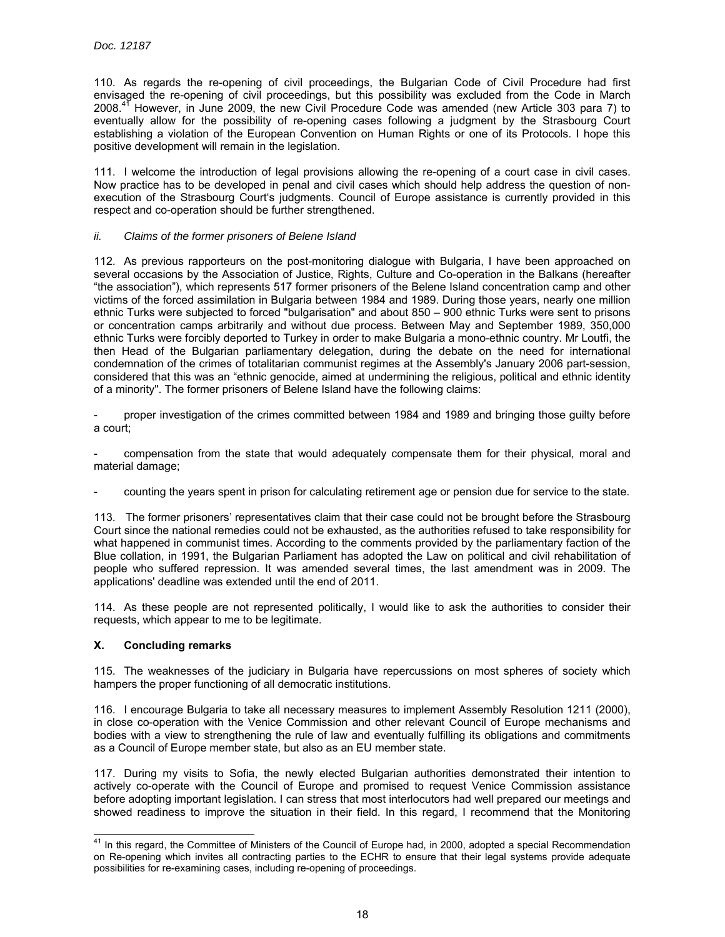110. As regards the re-opening of civil proceedings, the Bulgarian Code of Civil Procedure had first envisaged the re-opening of civil proceedings, but this possibility was excluded from the Code in March 2008.41 However, in June 2009, the new Civil Procedure Code was amended (new Article 303 para 7) to eventually allow for the possibility of re-opening cases following a judgment by the Strasbourg Court establishing a violation of the European Convention on Human Rights or one of its Protocols. I hope this positive development will remain in the legislation.

111. I welcome the introduction of legal provisions allowing the re-opening of a court case in civil cases. Now practice has to be developed in penal and civil cases which should help address the question of nonexecution of the Strasbourg Court's judgments. Council of Europe assistance is currently provided in this respect and co-operation should be further strengthened.

#### *ii. Claims of the former prisoners of Belene Island*

112. As previous rapporteurs on the post-monitoring dialogue with Bulgaria, I have been approached on several occasions by the Association of Justice, Rights, Culture and Co-operation in the Balkans (hereafter "the association"), which represents 517 former prisoners of the Belene Island concentration camp and other victims of the forced assimilation in Bulgaria between 1984 and 1989. During those years, nearly one million ethnic Turks were subjected to forced "bulgarisation" and about 850 – 900 ethnic Turks were sent to prisons or concentration camps arbitrarily and without due process. Between May and September 1989, 350,000 ethnic Turks were forcibly deported to Turkey in order to make Bulgaria a mono-ethnic country. Mr Loutfi, the then Head of the Bulgarian parliamentary delegation, during the debate on the need for international condemnation of the crimes of totalitarian communist regimes at the Assembly's January 2006 part-session, considered that this was an "ethnic genocide, aimed at undermining the religious, political and ethnic identity of a minority". The former prisoners of Belene Island have the following claims:

- proper investigation of the crimes committed between 1984 and 1989 and bringing those guilty before a court;

compensation from the state that would adequately compensate them for their physical, moral and material damage;

- counting the years spent in prison for calculating retirement age or pension due for service to the state.

113. The former prisoners' representatives claim that their case could not be brought before the Strasbourg Court since the national remedies could not be exhausted, as the authorities refused to take responsibility for what happened in communist times. According to the comments provided by the parliamentary faction of the Blue collation, in 1991, the Bulgarian Parliament has adopted the Law on political and civil rehabilitation of people who suffered repression. It was amended several times, the last amendment was in 2009. The applications' deadline was extended until the end of 2011.

114. As these people are not represented politically, I would like to ask the authorities to consider their requests, which appear to me to be legitimate.

## **X. Concluding remarks**

115. The weaknesses of the judiciary in Bulgaria have repercussions on most spheres of society which hampers the proper functioning of all democratic institutions.

116. I encourage Bulgaria to take all necessary measures to implement Assembly Resolution 1211 (2000), in close co-operation with the Venice Commission and other relevant Council of Europe mechanisms and bodies with a view to strengthening the rule of law and eventually fulfilling its obligations and commitments as a Council of Europe member state, but also as an EU member state.

117. During my visits to Sofia, the newly elected Bulgarian authorities demonstrated their intention to actively co-operate with the Council of Europe and promised to request Venice Commission assistance before adopting important legislation. I can stress that most interlocutors had well prepared our meetings and showed readiness to improve the situation in their field. In this regard, I recommend that the Monitoring

 $\overline{a}$  $41$  In this regard, the Committee of Ministers of the Council of Europe had, in 2000, adopted a special Recommendation on Re-opening which invites all contracting parties to the ECHR to ensure that their legal systems provide adequate possibilities for re-examining cases, including re-opening of proceedings.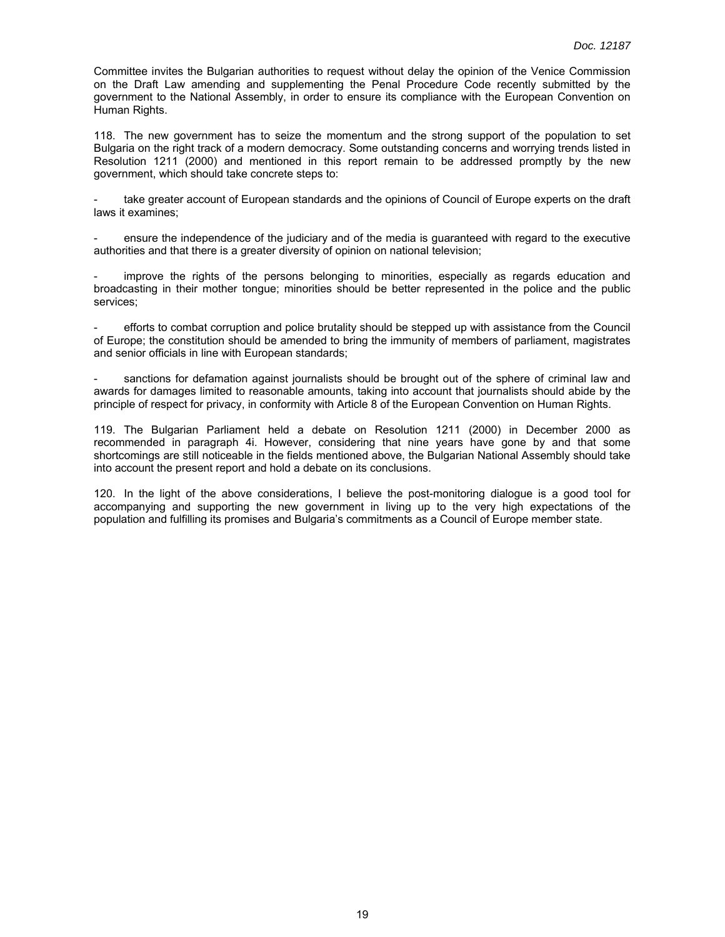Committee invites the Bulgarian authorities to request without delay the opinion of the Venice Commission on the Draft Law amending and supplementing the Penal Procedure Code recently submitted by the government to the National Assembly, in order to ensure its compliance with the European Convention on Human Rights.

118. The new government has to seize the momentum and the strong support of the population to set Bulgaria on the right track of a modern democracy. Some outstanding concerns and worrying trends listed in Resolution 1211 (2000) and mentioned in this report remain to be addressed promptly by the new government, which should take concrete steps to:

take greater account of European standards and the opinions of Council of Europe experts on the draft laws it examines;

- ensure the independence of the judiciary and of the media is guaranteed with regard to the executive authorities and that there is a greater diversity of opinion on national television;

improve the rights of the persons belonging to minorities, especially as regards education and broadcasting in their mother tongue; minorities should be better represented in the police and the public services;

- efforts to combat corruption and police brutality should be stepped up with assistance from the Council of Europe; the constitution should be amended to bring the immunity of members of parliament, magistrates and senior officials in line with European standards;

sanctions for defamation against journalists should be brought out of the sphere of criminal law and awards for damages limited to reasonable amounts, taking into account that journalists should abide by the principle of respect for privacy, in conformity with Article 8 of the European Convention on Human Rights.

119. The Bulgarian Parliament held a debate on Resolution 1211 (2000) in December 2000 as recommended in paragraph 4i. However, considering that nine years have gone by and that some shortcomings are still noticeable in the fields mentioned above, the Bulgarian National Assembly should take into account the present report and hold a debate on its conclusions.

120. In the light of the above considerations, I believe the post-monitoring dialogue is a good tool for accompanying and supporting the new government in living up to the very high expectations of the population and fulfilling its promises and Bulgaria's commitments as a Council of Europe member state.